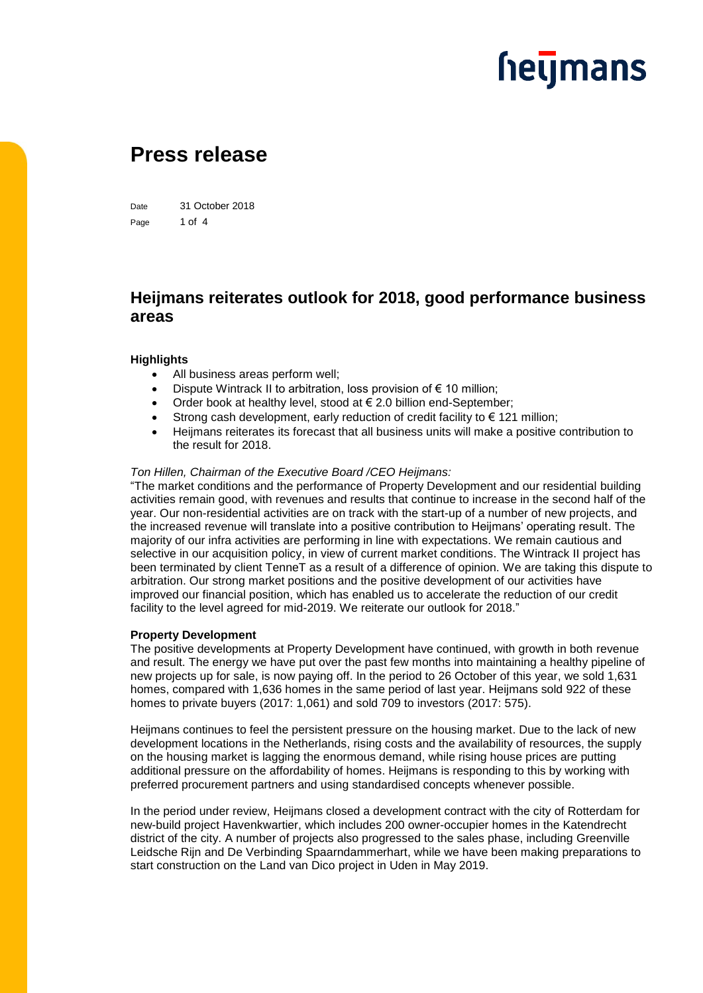### **heymans**

### **Press release**

Date 31 October 2018 Page 1 of 4

### **Heijmans reiterates outlook for 2018, good performance business areas**

#### **Highlights**

- All business areas perform well;
- Dispute Wintrack II to arbitration, loss provision of  $\epsilon$  10 million;
- Order book at healthy level, stood at  $\epsilon$  2.0 billion end-September;
- Strong cash development, early reduction of credit facility to  $\epsilon$  121 million;
- Heijmans reiterates its forecast that all business units will make a positive contribution to the result for 2018.

#### *Ton Hillen, Chairman of the Executive Board /CEO Heijmans:*

"The market conditions and the performance of Property Development and our residential building activities remain good, with revenues and results that continue to increase in the second half of the year. Our non-residential activities are on track with the start-up of a number of new projects, and the increased revenue will translate into a positive contribution to Heijmans' operating result. The majority of our infra activities are performing in line with expectations. We remain cautious and selective in our acquisition policy, in view of current market conditions. The Wintrack II project has been terminated by client TenneT as a result of a difference of opinion. We are taking this dispute to arbitration. Our strong market positions and the positive development of our activities have improved our financial position, which has enabled us to accelerate the reduction of our credit facility to the level agreed for mid-2019. We reiterate our outlook for 2018."

#### **Property Development**

The positive developments at Property Development have continued, with growth in both revenue and result. The energy we have put over the past few months into maintaining a healthy pipeline of new projects up for sale, is now paying off. In the period to 26 October of this year, we sold 1,631 homes, compared with 1,636 homes in the same period of last year. Heijmans sold 922 of these homes to private buyers (2017: 1,061) and sold 709 to investors (2017: 575).

Heijmans continues to feel the persistent pressure on the housing market. Due to the lack of new development locations in the Netherlands, rising costs and the availability of resources, the supply on the housing market is lagging the enormous demand, while rising house prices are putting additional pressure on the affordability of homes. Heijmans is responding to this by working with preferred procurement partners and using standardised concepts whenever possible.

In the period under review, Heijmans closed a development contract with the city of Rotterdam for new-build project Havenkwartier, which includes 200 owner-occupier homes in the Katendrecht district of the city. A number of projects also progressed to the sales phase, including Greenville Leidsche Rijn and De Verbinding Spaarndammerhart, while we have been making preparations to start construction on the Land van Dico project in Uden in May 2019.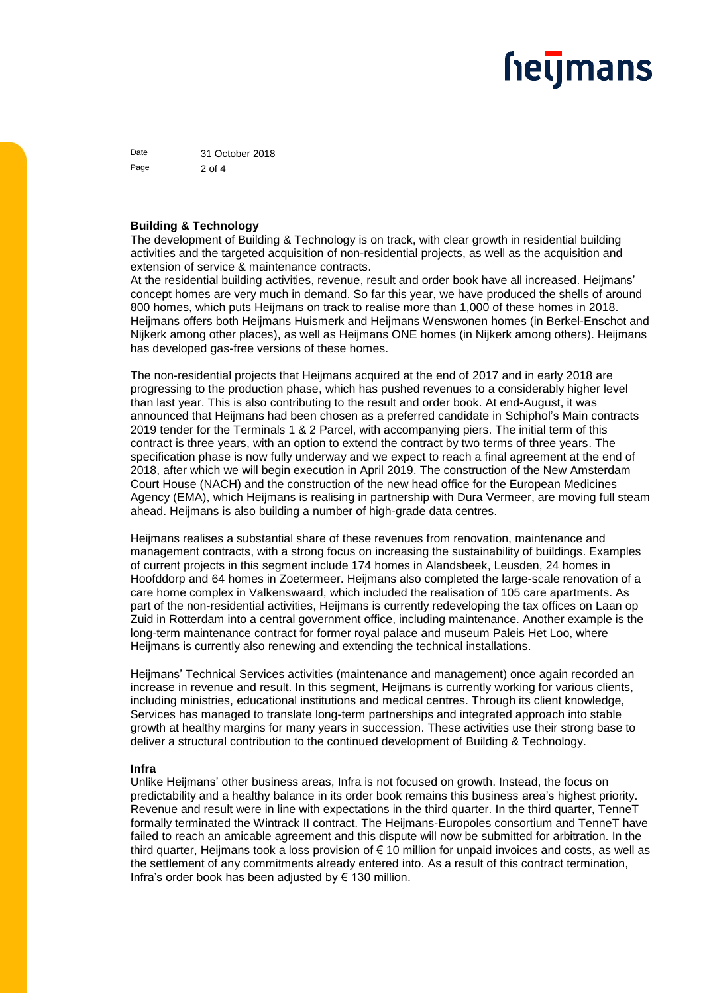## **heymans**

Date 31 October 2018 Page 2 of 4

#### **Building & Technology**

The development of Building & Technology is on track, with clear growth in residential building activities and the targeted acquisition of non-residential projects, as well as the acquisition and extension of service & maintenance contracts.

At the residential building activities, revenue, result and order book have all increased. Heijmans' concept homes are very much in demand. So far this year, we have produced the shells of around 800 homes, which puts Heijmans on track to realise more than 1,000 of these homes in 2018. Heijmans offers both Heijmans Huismerk and Heijmans Wenswonen homes (in Berkel-Enschot and Nijkerk among other places), as well as Heijmans ONE homes (in Nijkerk among others). Heijmans has developed gas-free versions of these homes.

The non-residential projects that Heijmans acquired at the end of 2017 and in early 2018 are progressing to the production phase, which has pushed revenues to a considerably higher level than last year. This is also contributing to the result and order book. At end-August, it was announced that Heijmans had been chosen as a preferred candidate in Schiphol's Main contracts 2019 tender for the Terminals 1 & 2 Parcel, with accompanying piers. The initial term of this contract is three years, with an option to extend the contract by two terms of three years. The specification phase is now fully underway and we expect to reach a final agreement at the end of 2018, after which we will begin execution in April 2019. The construction of the New Amsterdam Court House (NACH) and the construction of the new head office for the European Medicines Agency (EMA), which Heijmans is realising in partnership with Dura Vermeer, are moving full steam ahead. Heijmans is also building a number of high-grade data centres.

Heijmans realises a substantial share of these revenues from renovation, maintenance and management contracts, with a strong focus on increasing the sustainability of buildings. Examples of current projects in this segment include 174 homes in Alandsbeek, Leusden, 24 homes in Hoofddorp and 64 homes in Zoetermeer. Heijmans also completed the large-scale renovation of a care home complex in Valkenswaard, which included the realisation of 105 care apartments. As part of the non-residential activities, Heijmans is currently redeveloping the tax offices on Laan op Zuid in Rotterdam into a central government office, including maintenance. Another example is the long-term maintenance contract for former royal palace and museum Paleis Het Loo, where Heijmans is currently also renewing and extending the technical installations.

Heijmans' Technical Services activities (maintenance and management) once again recorded an increase in revenue and result. In this segment, Heijmans is currently working for various clients, including ministries, educational institutions and medical centres. Through its client knowledge, Services has managed to translate long-term partnerships and integrated approach into stable growth at healthy margins for many years in succession. These activities use their strong base to deliver a structural contribution to the continued development of Building & Technology.

#### **Infra**

Unlike Heijmans' other business areas, Infra is not focused on growth. Instead, the focus on predictability and a healthy balance in its order book remains this business area's highest priority. Revenue and result were in line with expectations in the third quarter. In the third quarter, TenneT formally terminated the Wintrack II contract. The Heijmans-Europoles consortium and TenneT have failed to reach an amicable agreement and this dispute will now be submitted for arbitration. In the third quarter, Heijmans took a loss provision of € 10 million for unpaid invoices and costs, as well as the settlement of any commitments already entered into. As a result of this contract termination, Infra's order book has been adjusted by  $\epsilon$  130 million.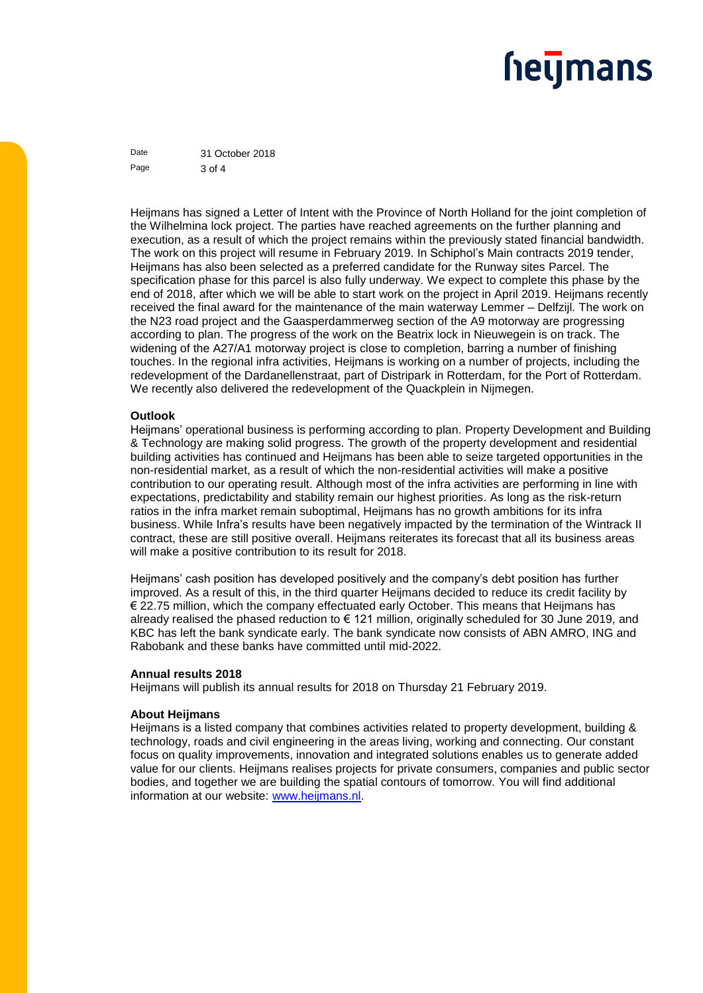## **heymans**

Date 31 October 2018 Page 3 of 4

Heijmans has signed a Letter of Intent with the Province of North Holland for the joint completion of the Wilhelmina lock project. The parties have reached agreements on the further planning and execution, as a result of which the project remains within the previously stated financial bandwidth. The work on this project will resume in February 2019. In Schiphol's Main contracts 2019 tender, Heijmans has also been selected as a preferred candidate for the Runway sites Parcel. The specification phase for this parcel is also fully underway. We expect to complete this phase by the end of 2018, after which we will be able to start work on the project in April 2019. Heijmans recently received the final award for the maintenance of the main waterway Lemmer – Delfzijl. The work on the N23 road project and the Gaasperdammerweg section of the A9 motorway are progressing according to plan. The progress of the work on the Beatrix lock in Nieuwegein is on track. The widening of the A27/A1 motorway project is close to completion, barring a number of finishing touches. In the regional infra activities, Heijmans is working on a number of projects, including the redevelopment of the Dardanellenstraat, part of Distripark in Rotterdam, for the Port of Rotterdam. We recently also delivered the redevelopment of the Quackplein in Nijmegen.

#### **Outlook**

Heijmans' operational business is performing according to plan. Property Development and Building & Technology are making solid progress. The growth of the property development and residential building activities has continued and Heijmans has been able to seize targeted opportunities in the non-residential market, as a result of which the non-residential activities will make a positive contribution to our operating result. Although most of the infra activities are performing in line with expectations, predictability and stability remain our highest priorities. As long as the risk-return ratios in the infra market remain suboptimal, Heijmans has no growth ambitions for its infra business. While Infra's results have been negatively impacted by the termination of the Wintrack II contract, these are still positive overall. Heijmans reiterates its forecast that all its business areas will make a positive contribution to its result for 2018.

Heijmans' cash position has developed positively and the company's debt position has further improved. As a result of this, in the third quarter Heijmans decided to reduce its credit facility by € 22.75 million, which the company effectuated early October. This means that Heijmans has already realised the phased reduction to € 121 million, originally scheduled for 30 June 2019, and KBC has left the bank syndicate early. The bank syndicate now consists of ABN AMRO, ING and Rabobank and these banks have committed until mid-2022.

#### **Annual results 2018**

Heijmans will publish its annual results for 2018 on Thursday 21 February 2019.

#### **About Heijmans**

Heijmans is a listed company that combines activities related to property development, building & technology, roads and civil engineering in the areas living, working and connecting. Our constant focus on quality improvements, innovation and integrated solutions enables us to generate added value for our clients. Heijmans realises projects for private consumers, companies and public sector bodies, and together we are building the spatial contours of tomorrow. You will find additional information at our website: [www.heijmans.nl.](http://www.heijmans.nl/)